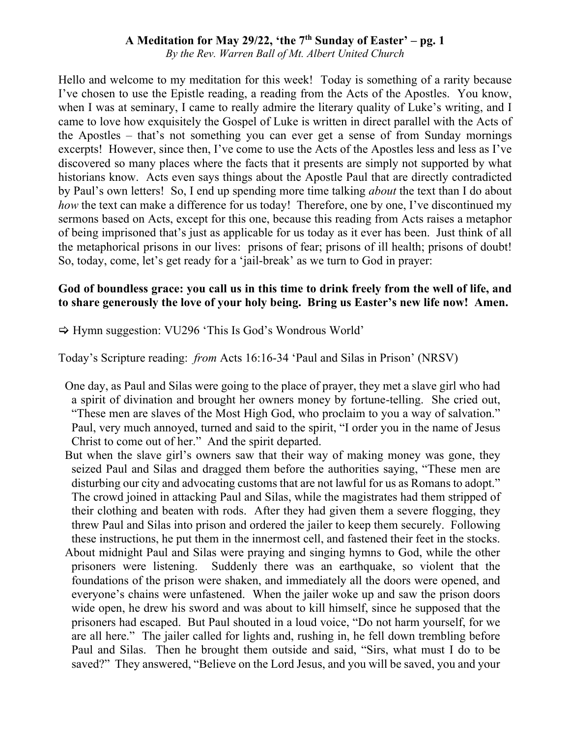*By the Rev. Warren Ball of Mt. Albert United Church*

Hello and welcome to my meditation for this week! Today is something of a rarity because I've chosen to use the Epistle reading, a reading from the Acts of the Apostles. You know, when I was at seminary, I came to really admire the literary quality of Luke's writing, and I came to love how exquisitely the Gospel of Luke is written in direct parallel with the Acts of the Apostles – that's not something you can ever get a sense of from Sunday mornings excerpts! However, since then, I've come to use the Acts of the Apostles less and less as I've discovered so many places where the facts that it presents are simply not supported by what historians know. Acts even says things about the Apostle Paul that are directly contradicted by Paul's own letters! So, I end up spending more time talking *about* the text than I do about *how* the text can make a difference for us today! Therefore, one by one, I've discontinued my sermons based on Acts, except for this one, because this reading from Acts raises a metaphor of being imprisoned that's just as applicable for us today as it ever has been. Just think of all the metaphorical prisons in our lives: prisons of fear; prisons of ill health; prisons of doubt! So, today, come, let's get ready for a 'jail-break' as we turn to God in prayer:

### **God of boundless grace: you call us in this time to drink freely from the well of life, and to share generously the love of your holy being. Bring us Easter's new life now! Amen.**

 $\Rightarrow$  Hymn suggestion: VU296 'This Is God's Wondrous World'

Today's Scripture reading: *from* Acts 16:16-34 'Paul and Silas in Prison' (NRSV)

- One day, as Paul and Silas were going to the place of prayer, they met a slave girl who had a spirit of divination and brought her owners money by fortune-telling. She cried out, "These men are slaves of the Most High God, who proclaim to you a way of salvation." Paul, very much annoyed, turned and said to the spirit, "I order you in the name of Jesus Christ to come out of her." And the spirit departed.
- But when the slave girl's owners saw that their way of making money was gone, they seized Paul and Silas and dragged them before the authorities saying, "These men are disturbing our city and advocating customs that are not lawful for us as Romans to adopt." The crowd joined in attacking Paul and Silas, while the magistrates had them stripped of their clothing and beaten with rods. After they had given them a severe flogging, they threw Paul and Silas into prison and ordered the jailer to keep them securely. Following these instructions, he put them in the innermost cell, and fastened their feet in the stocks. About midnight Paul and Silas were praying and singing hymns to God, while the other prisoners were listening. Suddenly there was an earthquake, so violent that the foundations of the prison were shaken, and immediately all the doors were opened, and everyone's chains were unfastened. When the jailer woke up and saw the prison doors wide open, he drew his sword and was about to kill himself, since he supposed that the prisoners had escaped. But Paul shouted in a loud voice, "Do not harm yourself, for we are all here." The jailer called for lights and, rushing in, he fell down trembling before Paul and Silas. Then he brought them outside and said, "Sirs, what must I do to be saved?" They answered, "Believe on the Lord Jesus, and you will be saved, you and your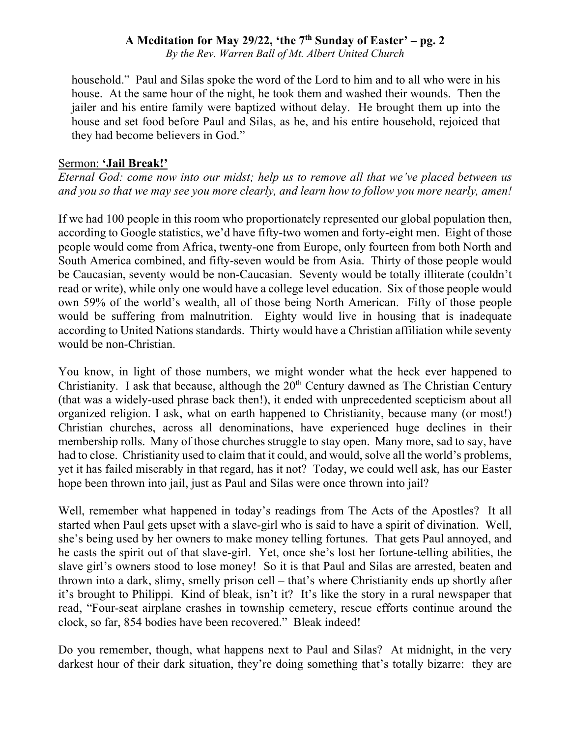*By the Rev. Warren Ball of Mt. Albert United Church*

household." Paul and Silas spoke the word of the Lord to him and to all who were in his house. At the same hour of the night, he took them and washed their wounds. Then the jailer and his entire family were baptized without delay. He brought them up into the house and set food before Paul and Silas, as he, and his entire household, rejoiced that they had become believers in God."

#### Sermon: **'Jail Break!'**

*Eternal God: come now into our midst; help us to remove all that we've placed between us and you so that we may see you more clearly, and learn how to follow you more nearly, amen!*

If we had 100 people in this room who proportionately represented our global population then, according to Google statistics, we'd have fifty-two women and forty-eight men. Eight of those people would come from Africa, twenty-one from Europe, only fourteen from both North and South America combined, and fifty-seven would be from Asia. Thirty of those people would be Caucasian, seventy would be non-Caucasian. Seventy would be totally illiterate (couldn't read or write), while only one would have a college level education. Six of those people would own 59% of the world's wealth, all of those being North American. Fifty of those people would be suffering from malnutrition. Eighty would live in housing that is inadequate according to United Nations standards. Thirty would have a Christian affiliation while seventy would be non-Christian.

You know, in light of those numbers, we might wonder what the heck ever happened to Christianity. I ask that because, although the  $20<sup>th</sup>$  Century dawned as The Christian Century (that was a widely-used phrase back then!), it ended with unprecedented scepticism about all organized religion. I ask, what on earth happened to Christianity, because many (or most!) Christian churches, across all denominations, have experienced huge declines in their membership rolls. Many of those churches struggle to stay open. Many more, sad to say, have had to close. Christianity used to claim that it could, and would, solve all the world's problems, yet it has failed miserably in that regard, has it not? Today, we could well ask, has our Easter hope been thrown into jail, just as Paul and Silas were once thrown into jail?

Well, remember what happened in today's readings from The Acts of the Apostles? It all started when Paul gets upset with a slave-girl who is said to have a spirit of divination. Well, she's being used by her owners to make money telling fortunes. That gets Paul annoyed, and he casts the spirit out of that slave-girl. Yet, once she's lost her fortune-telling abilities, the slave girl's owners stood to lose money! So it is that Paul and Silas are arrested, beaten and thrown into a dark, slimy, smelly prison cell – that's where Christianity ends up shortly after it's brought to Philippi. Kind of bleak, isn't it? It's like the story in a rural newspaper that read, "Four-seat airplane crashes in township cemetery, rescue efforts continue around the clock, so far, 854 bodies have been recovered." Bleak indeed!

Do you remember, though, what happens next to Paul and Silas? At midnight, in the very darkest hour of their dark situation, they're doing something that's totally bizarre: they are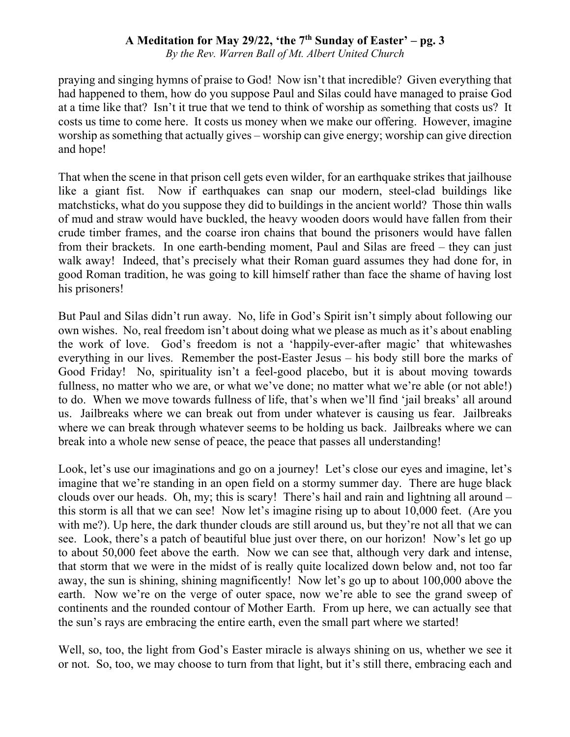*By the Rev. Warren Ball of Mt. Albert United Church*

praying and singing hymns of praise to God! Now isn't that incredible? Given everything that had happened to them, how do you suppose Paul and Silas could have managed to praise God at a time like that? Isn't it true that we tend to think of worship as something that costs us? It costs us time to come here. It costs us money when we make our offering. However, imagine worship as something that actually gives – worship can give energy; worship can give direction and hope!

That when the scene in that prison cell gets even wilder, for an earthquake strikes that jailhouse like a giant fist. Now if earthquakes can snap our modern, steel-clad buildings like matchsticks, what do you suppose they did to buildings in the ancient world? Those thin walls of mud and straw would have buckled, the heavy wooden doors would have fallen from their crude timber frames, and the coarse iron chains that bound the prisoners would have fallen from their brackets. In one earth-bending moment, Paul and Silas are freed – they can just walk away! Indeed, that's precisely what their Roman guard assumes they had done for, in good Roman tradition, he was going to kill himself rather than face the shame of having lost his prisoners!

But Paul and Silas didn't run away. No, life in God's Spirit isn't simply about following our own wishes. No, real freedom isn't about doing what we please as much as it's about enabling the work of love. God's freedom is not a 'happily-ever-after magic' that whitewashes everything in our lives. Remember the post-Easter Jesus – his body still bore the marks of Good Friday! No, spirituality isn't a feel-good placebo, but it is about moving towards fullness, no matter who we are, or what we've done; no matter what we're able (or not able!) to do. When we move towards fullness of life, that's when we'll find 'jail breaks' all around us. Jailbreaks where we can break out from under whatever is causing us fear. Jailbreaks where we can break through whatever seems to be holding us back. Jailbreaks where we can break into a whole new sense of peace, the peace that passes all understanding!

Look, let's use our imaginations and go on a journey! Let's close our eyes and imagine, let's imagine that we're standing in an open field on a stormy summer day. There are huge black clouds over our heads. Oh, my; this is scary! There's hail and rain and lightning all around – this storm is all that we can see! Now let's imagine rising up to about 10,000 feet. (Are you with me?). Up here, the dark thunder clouds are still around us, but they're not all that we can see. Look, there's a patch of beautiful blue just over there, on our horizon! Now's let go up to about 50,000 feet above the earth. Now we can see that, although very dark and intense, that storm that we were in the midst of is really quite localized down below and, not too far away, the sun is shining, shining magnificently! Now let's go up to about 100,000 above the earth. Now we're on the verge of outer space, now we're able to see the grand sweep of continents and the rounded contour of Mother Earth. From up here, we can actually see that the sun's rays are embracing the entire earth, even the small part where we started!

Well, so, too, the light from God's Easter miracle is always shining on us, whether we see it or not. So, too, we may choose to turn from that light, but it's still there, embracing each and